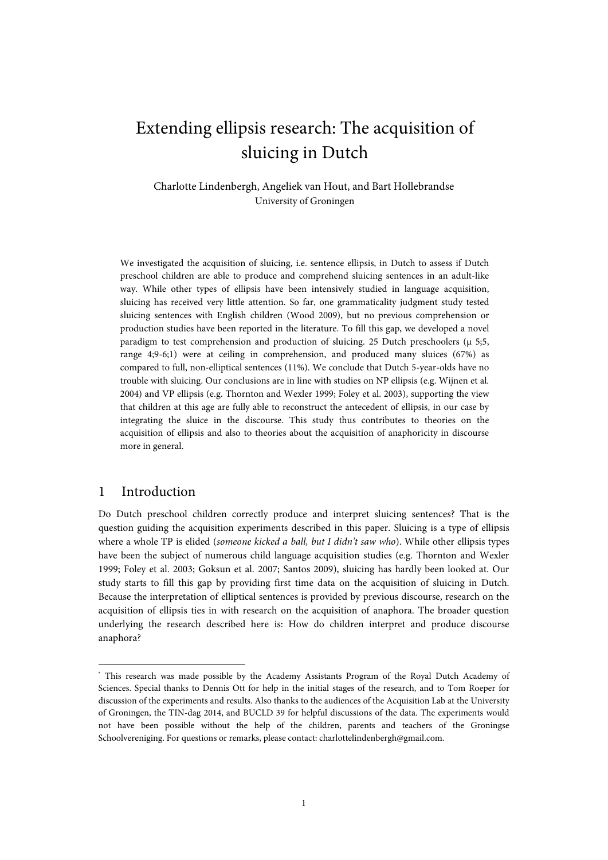# Extending ellipsis research: The acquisition of sluicing in Dutch

Charlotte Lindenbergh, Angeliek van Hout, and Bart Hollebrandse University of Groningen

We investigated the acquisition of sluicing, i.e. sentence ellipsis, in Dutch to assess if Dutch preschool children are able to produce and comprehend sluicing sentences in an adult-like way. While other types of ellipsis have been intensively studied in language acquisition, sluicing has received very little attention. So far, one grammaticality judgment study tested sluicing sentences with English children (Wood 2009), but no previous comprehension or production studies have been reported in the literature. To fill this gap, we developed a novel paradigm to test comprehension and production of sluicing. 25 Dutch preschoolers (μ 5;5, range 4;9-6;1) were at ceiling in comprehension, and produced many sluices (67%) as compared to full, non-elliptical sentences (11%). We conclude that Dutch 5-year-olds have no trouble with sluicing. Our conclusions are in line with studies on NP ellipsis (e.g. Wijnen et al. 2004) and VP ellipsis (e.g. Thornton and Wexler 1999; Foley et al. 2003), supporting the view that children at this age are fully able to reconstruct the antecedent of ellipsis, in our case by integrating the sluice in the discourse. This study thus contributes to theories on the acquisition of ellipsis and also to theories about the acquisition of anaphoricity in discourse more in general.

## 1 Introduction[\\*](#page-3-0)

Do Dutch preschool children correctly produce and interpret sluicing sentences? That is the question guiding the acquisition experiments described in this paper. Sluicing is a type of ellipsis where a whole TP is elided (*someone kicked a ball, but I didn't saw who*). While other ellipsis types have been the subject of numerous child language acquisition studies (e.g. Thornton and Wexler 1999; Foley et al. 2003; Goksun et al. 2007; Santos 2009), sluicing has hardly been looked at. Our study starts to fill this gap by providing first time data on the acquisition of sluicing in Dutch. Because the interpretation of elliptical sentences is provided by previous discourse, research on the acquisition of ellipsis ties in with research on the acquisition of anaphora. The broader question underlying the research described here is: How do children interpret and produce discourse anaphora?

<sup>\*</sup> This research was made possible by the Academy Assistants Program of the Royal Dutch Academy of Sciences. Special thanks to Dennis Ott for help in the initial stages of the research, and to Tom Roeper for discussion of the experiments and results. Also thanks to the audiences of the Acquisition Lab at the University of Groningen, the TIN-dag 2014, and BUCLD 39 for helpful discussions of the data. The experiments would not have been possible without the help of the children, parents and teachers of the Groningse Schoolvereniging. For questions or remarks, please contact: charlottelindenbergh@gmail.com.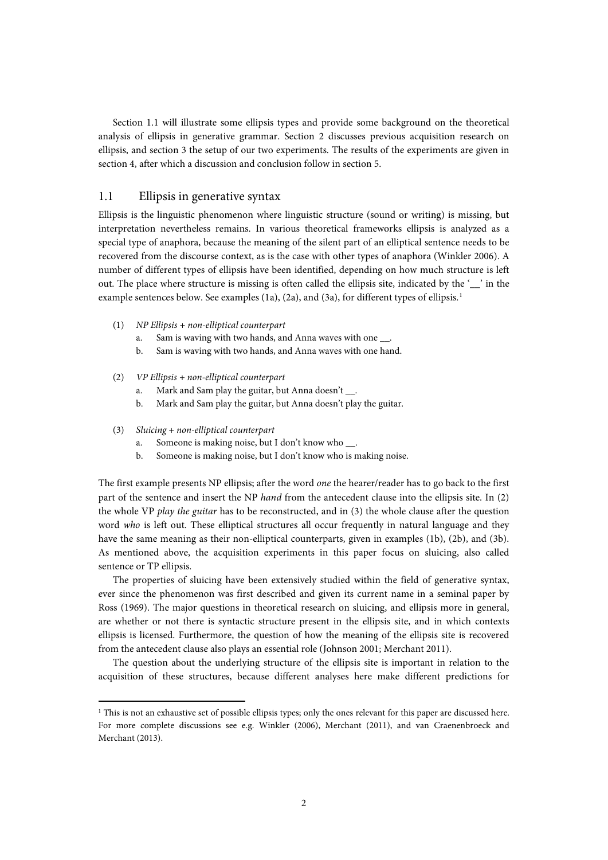Section 1.1 will illustrate some ellipsis types and provide some background on the theoretical analysis of ellipsis in generative grammar. Section 2 discusses previous acquisition research on ellipsis, and section 3 the setup of our two experiments. The results of the experiments are given in section 4, after which a discussion and conclusion follow in section 5.

### 1.1 Ellipsis in generative syntax

Ellipsis is the linguistic phenomenon where linguistic structure (sound or writing) is missing, but interpretation nevertheless remains. In various theoretical frameworks ellipsis is analyzed as a special type of anaphora, because the meaning of the silent part of an elliptical sentence needs to be recovered from the discourse context, as is the case with other types of anaphora (Winkler 2006). A number of different types of ellipsis have been identified, depending on how much structure is left out. The place where structure is missing is often called the ellipsis site, indicated by the '\_\_' in the example sentences below. See examples ([1](#page-1-0)a), (2a), and (3a), for different types of ellipsis.<sup>1</sup>

- (1) *NP Ellipsis + non-elliptical counterpart*
	- a. Sam is waving with two hands, and Anna waves with one
	- b. Sam is waving with two hands, and Anna waves with one hand.
- (2) *VP Ellipsis + non-elliptical counterpart*
	- a. Mark and Sam play the guitar, but Anna doesn't \_\_\_.
	- b. Mark and Sam play the guitar, but Anna doesn't play the guitar.
- (3) *Sluicing + non-elliptical counterpart*

**.** 

- a. Someone is making noise, but I don't know who .
- b. Someone is making noise, but I don't know who is making noise.

The first example presents NP ellipsis; after the word *one* the hearer/reader has to go back to the first part of the sentence and insert the NP *hand* from the antecedent clause into the ellipsis site. In (2) the whole VP *play the guitar* has to be reconstructed, and in (3) the whole clause after the question word *who* is left out. These elliptical structures all occur frequently in natural language and they have the same meaning as their non-elliptical counterparts, given in examples (1b), (2b), and (3b). As mentioned above, the acquisition experiments in this paper focus on sluicing, also called sentence or TP ellipsis.

The properties of sluicing have been extensively studied within the field of generative syntax, ever since the phenomenon was first described and given its current name in a seminal paper by Ross (1969). The major questions in theoretical research on sluicing, and ellipsis more in general, are whether or not there is syntactic structure present in the ellipsis site, and in which contexts ellipsis is licensed. Furthermore, the question of how the meaning of the ellipsis site is recovered from the antecedent clause also plays an essential role (Johnson 2001; Merchant 2011).

The question about the underlying structure of the ellipsis site is important in relation to the acquisition of these structures, because different analyses here make different predictions for

<span id="page-1-0"></span><sup>&</sup>lt;sup>1</sup> This is not an exhaustive set of possible ellipsis types; only the ones relevant for this paper are discussed here. For more complete discussions see e.g. Winkler (2006), Merchant (2011), and van Craenenbroeck and Merchant (2013).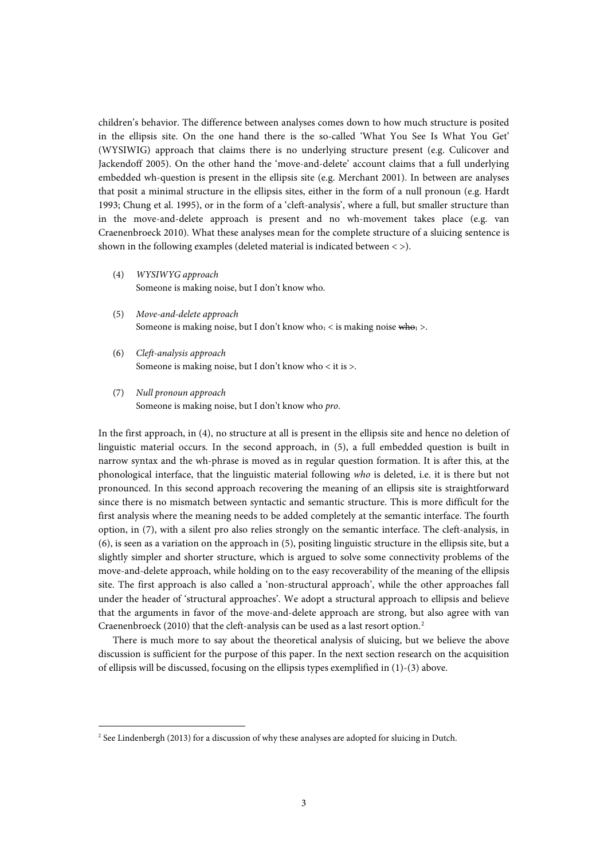children's behavior. The difference between analyses comes down to how much structure is posited in the ellipsis site. On the one hand there is the so-called 'What You See Is What You Get' (WYSIWIG) approach that claims there is no underlying structure present (e.g. Culicover and Jackendoff 2005). On the other hand the 'move-and-delete' account claims that a full underlying embedded wh-question is present in the ellipsis site (e.g. Merchant 2001). In between are analyses that posit a minimal structure in the ellipsis sites, either in the form of a null pronoun (e.g. Hardt 1993; Chung et al. 1995), or in the form of a 'cleft-analysis', where a full, but smaller structure than in the move-and-delete approach is present and no wh-movement takes place (e.g. van Craenenbroeck 2010). What these analyses mean for the complete structure of a sluicing sentence is shown in the following examples (deleted material is indicated between  $\langle \rangle$ ).

- (4) *WYSIWYG approach* Someone is making noise, but I don't know who.
- (5) *Move-and-delete approach* Someone is making noise, but I don't know who<sub>1</sub> < is making noise  $\frac{1}{2}$  >.
- (6) *Cleft-analysis approach* Someone is making noise, but I don't know who < it is >.
- (7) *Null pronoun approach* Someone is making noise, but I don't know who *pro*.

In the first approach, in (4), no structure at all is present in the ellipsis site and hence no deletion of linguistic material occurs. In the second approach, in (5), a full embedded question is built in narrow syntax and the wh-phrase is moved as in regular question formation. It is after this, at the phonological interface, that the linguistic material following *who* is deleted, i.e. it is there but not pronounced. In this second approach recovering the meaning of an ellipsis site is straightforward since there is no mismatch between syntactic and semantic structure. This is more difficult for the first analysis where the meaning needs to be added completely at the semantic interface. The fourth option, in (7), with a silent pro also relies strongly on the semantic interface. The cleft-analysis, in (6), is seen as a variation on the approach in (5), positing linguistic structure in the ellipsis site, but a slightly simpler and shorter structure, which is argued to solve some connectivity problems of the move-and-delete approach, while holding on to the easy recoverability of the meaning of the ellipsis site. The first approach is also called a 'non-structural approach', while the other approaches fall under the header of 'structural approaches'. We adopt a structural approach to ellipsis and believe that the arguments in favor of the move-and-delete approach are strong, but also agree with van Craenenbroeck (2010) that the cleft-analysis can be used as a last resort option.[2](#page-2-0)

There is much more to say about the theoretical analysis of sluicing, but we believe the above discussion is sufficient for the purpose of this paper. In the next section research on the acquisition of ellipsis will be discussed, focusing on the ellipsis types exemplified in (1)-(3) above.

**.** 

<span id="page-2-0"></span><sup>&</sup>lt;sup>2</sup> See Lindenbergh (2013) for a discussion of why these analyses are adopted for sluicing in Dutch.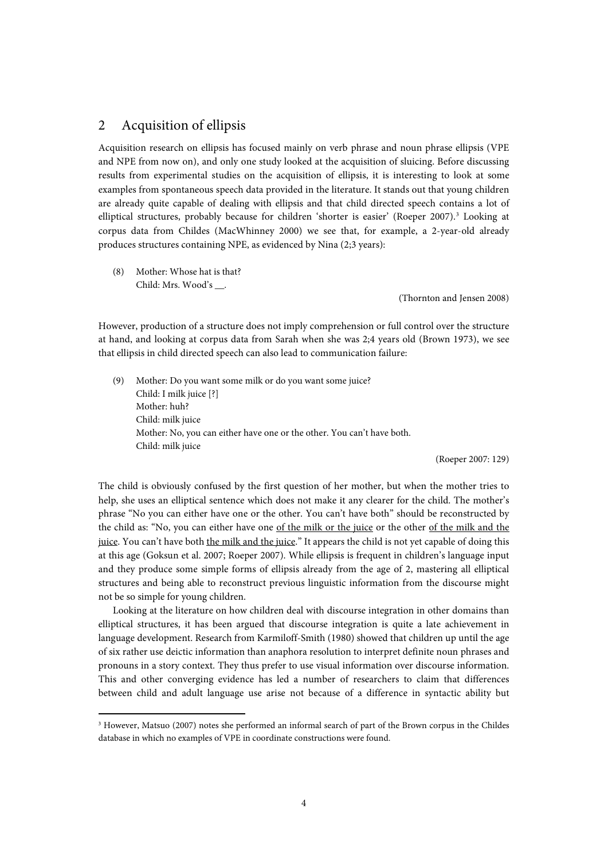## 2 Acquisition of ellipsis

Acquisition research on ellipsis has focused mainly on verb phrase and noun phrase ellipsis (VPE and NPE from now on), and only one study looked at the acquisition of sluicing. Before discussing results from experimental studies on the acquisition of ellipsis, it is interesting to look at some examples from spontaneous speech data provided in the literature. It stands out that young children are already quite capable of dealing with ellipsis and that child directed speech contains a lot of elliptical structures, probably because for children 'shorter is easier' (Roeper 2007). [3](#page-3-1) Looking at corpus data from Childes (MacWhinney 2000) we see that, for example, a 2-year-old already produces structures containing NPE, as evidenced by Nina (2;3 years):

(8) Mother: Whose hat is that? Child: Mrs. Wood's \_\_.

<span id="page-3-0"></span>**.** 

(Thornton and Jensen 2008)

However, production of a structure does not imply comprehension or full control over the structure at hand, and looking at corpus data from Sarah when she was 2;4 years old (Brown 1973), we see that ellipsis in child directed speech can also lead to communication failure:

(9) Mother: Do you want some milk or do you want some juice? Child: I milk juice [?] Mother: huh? Child: milk juice Mother: No, you can either have one or the other. You can't have both. Child: milk juice

(Roeper 2007: 129)

The child is obviously confused by the first question of her mother, but when the mother tries to help, she uses an elliptical sentence which does not make it any clearer for the child. The mother's phrase "No you can either have one or the other. You can't have both" should be reconstructed by the child as: "No, you can either have one of the milk or the juice or the other of the milk and the juice. You can't have both the milk and the juice." It appears the child is not yet capable of doing this at this age (Goksun et al. 2007; Roeper 2007). While ellipsis is frequent in children's language input and they produce some simple forms of ellipsis already from the age of 2, mastering all elliptical structures and being able to reconstruct previous linguistic information from the discourse might not be so simple for young children.

Looking at the literature on how children deal with discourse integration in other domains than elliptical structures, it has been argued that discourse integration is quite a late achievement in language development. Research from Karmiloff-Smith (1980) showed that children up until the age of six rather use deictic information than anaphora resolution to interpret definite noun phrases and pronouns in a story context. They thus prefer to use visual information over discourse information. This and other converging evidence has led a number of researchers to claim that differences between child and adult language use arise not because of a difference in syntactic ability but

<span id="page-3-1"></span><sup>3</sup> However, Matsuo (2007) notes she performed an informal search of part of the Brown corpus in the Childes database in which no examples of VPE in coordinate constructions were found.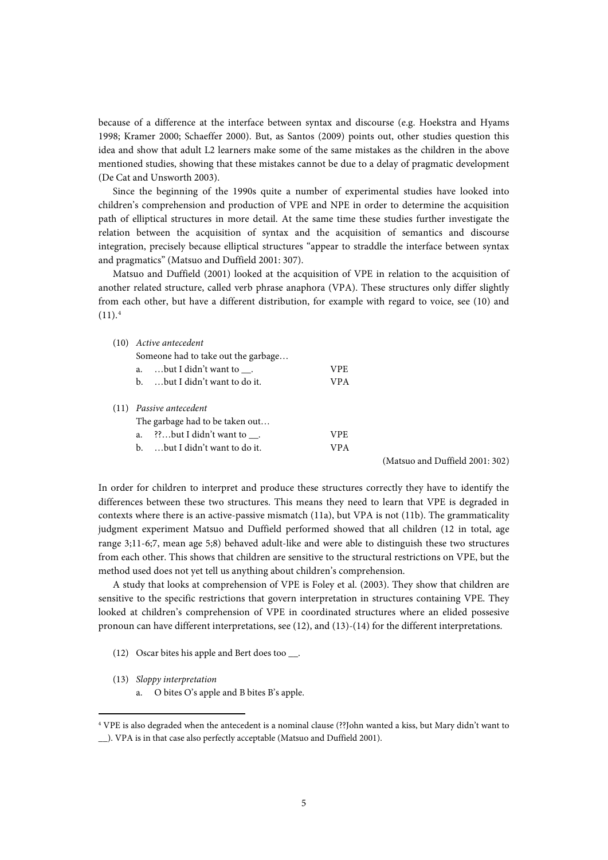because of a difference at the interface between syntax and discourse (e.g. Hoekstra and Hyams 1998; Kramer 2000; Schaeffer 2000). But, as Santos (2009) points out, other studies question this idea and show that adult L2 learners make some of the same mistakes as the children in the above mentioned studies, showing that these mistakes cannot be due to a delay of pragmatic development (De Cat and Unsworth 2003).

Since the beginning of the 1990s quite a number of experimental studies have looked into children's comprehension and production of VPE and NPE in order to determine the acquisition path of elliptical structures in more detail. At the same time these studies further investigate the relation between the acquisition of syntax and the acquisition of semantics and discourse integration, precisely because elliptical structures "appear to straddle the interface between syntax and pragmatics" (Matsuo and Duffield 2001: 307).

Matsuo and Duffield (2001) looked at the acquisition of VPE in relation to the acquisition of another related structure, called verb phrase anaphora (VPA). These structures only differ slightly from each other, but have a different distribution, for example with regard to voice, see (10) and  $(11).<sup>4</sup>$  $(11).<sup>4</sup>$  $(11).<sup>4</sup>$ 

(10) *Active antecedent*

|      | Someone had to take out the garbage |                                 |      |                                 |  |  |  |  |  |
|------|-------------------------------------|---------------------------------|------|---------------------------------|--|--|--|--|--|
|      |                                     | a. but I didn't want to .       | VPE. |                                 |  |  |  |  |  |
|      |                                     | b. but I didn't want to do it.  | VPA. |                                 |  |  |  |  |  |
| (11) |                                     | Passive antecedent              |      |                                 |  |  |  |  |  |
|      |                                     | The garbage had to be taken out |      |                                 |  |  |  |  |  |
|      |                                     | a. ??but I didn't want to.      | VPE. |                                 |  |  |  |  |  |
|      |                                     | b. but I didn't want to do it.  | VPA. |                                 |  |  |  |  |  |
|      |                                     |                                 |      | (Matsuo and Duffield 2001: 302) |  |  |  |  |  |

In order for children to interpret and produce these structures correctly they have to identify the differences between these two structures. This means they need to learn that VPE is degraded in contexts where there is an active-passive mismatch (11a), but VPA is not (11b). The grammaticality judgment experiment Matsuo and Duffield performed showed that all children (12 in total, age range 3;11-6;7, mean age 5;8) behaved adult-like and were able to distinguish these two structures from each other. This shows that children are sensitive to the structural restrictions on VPE, but the method used does not yet tell us anything about children's comprehension.

A study that looks at comprehension of VPE is Foley et al. (2003). They show that children are sensitive to the specific restrictions that govern interpretation in structures containing VPE. They looked at children's comprehension of VPE in coordinated structures where an elided possesive pronoun can have different interpretations, see (12), and (13)-(14) for the different interpretations.

- (12) Oscar bites his apple and Bert does too \_\_.
- (13) *Sloppy interpretation*

**.** 

a. O bites O's apple and B bites B's apple.

<span id="page-4-0"></span><sup>4</sup> VPE is also degraded when the antecedent is a nominal clause (??John wanted a kiss, but Mary didn't want to \_\_). VPA is in that case also perfectly acceptable (Matsuo and Duffield 2001).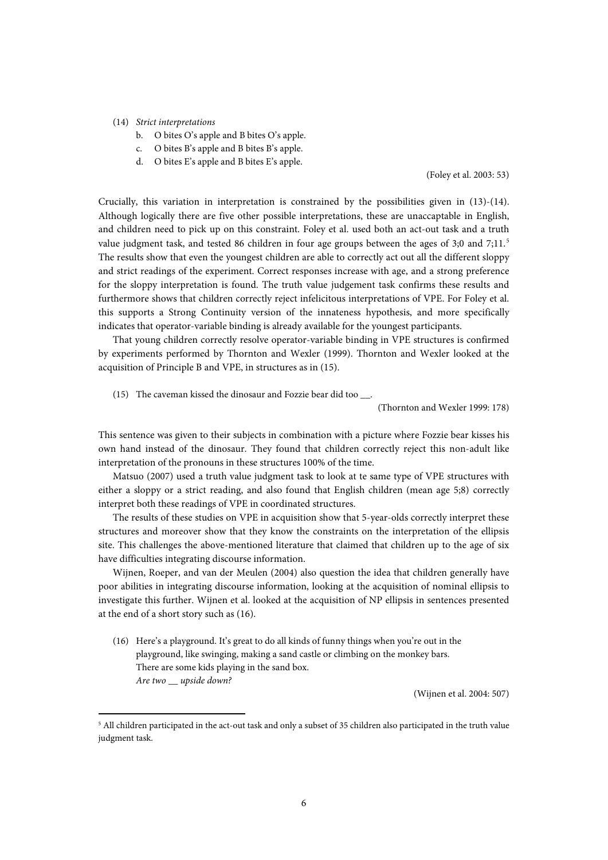### (14) *Strict interpretations*

**.** 

- b. O bites O's apple and B bites O's apple.
- c. O bites B's apple and B bites B's apple.
- d. O bites E's apple and B bites E's apple.

(Foley et al. 2003: 53)

Crucially, this variation in interpretation is constrained by the possibilities given in (13)-(14). Although logically there are five other possible interpretations, these are unaccaptable in English, and children need to pick up on this constraint. Foley et al. used both an act-out task and a truth value judgment task, and tested 86 children in four age groups between the ages of 3;0 and  $7:11.^5$  $7:11.^5$ The results show that even the youngest children are able to correctly act out all the different sloppy and strict readings of the experiment. Correct responses increase with age, and a strong preference for the sloppy interpretation is found. The truth value judgement task confirms these results and furthermore shows that children correctly reject infelicitous interpretations of VPE. For Foley et al. this supports a Strong Continuity version of the innateness hypothesis, and more specifically indicates that operator-variable binding is already available for the youngest participants.

That young children correctly resolve operator-variable binding in VPE structures is confirmed by experiments performed by Thornton and Wexler (1999). Thornton and Wexler looked at the acquisition of Principle B and VPE, in structures as in (15).

(15) The caveman kissed the dinosaur and Fozzie bear did too \_\_.

(Thornton and Wexler 1999: 178)

This sentence was given to their subjects in combination with a picture where Fozzie bear kisses his own hand instead of the dinosaur. They found that children correctly reject this non-adult like interpretation of the pronouns in these structures 100% of the time.

Matsuo (2007) used a truth value judgment task to look at te same type of VPE structures with either a sloppy or a strict reading, and also found that English children (mean age 5;8) correctly interpret both these readings of VPE in coordinated structures.

The results of these studies on VPE in acquisition show that 5-year-olds correctly interpret these structures and moreover show that they know the constraints on the interpretation of the ellipsis site. This challenges the above-mentioned literature that claimed that children up to the age of six have difficulties integrating discourse information.

Wijnen, Roeper, and van der Meulen (2004) also question the idea that children generally have poor abilities in integrating discourse information, looking at the acquisition of nominal ellipsis to investigate this further. Wijnen et al. looked at the acquisition of NP ellipsis in sentences presented at the end of a short story such as (16).

(16) Here's a playground. It's great to do all kinds of funny things when you're out in the playground, like swinging, making a sand castle or climbing on the monkey bars. There are some kids playing in the sand box. *Are two \_\_ upside down?*

(Wijnen et al. 2004: 507)

<span id="page-5-0"></span><sup>5</sup> All children participated in the act-out task and only a subset of 35 children also participated in the truth value judgment task.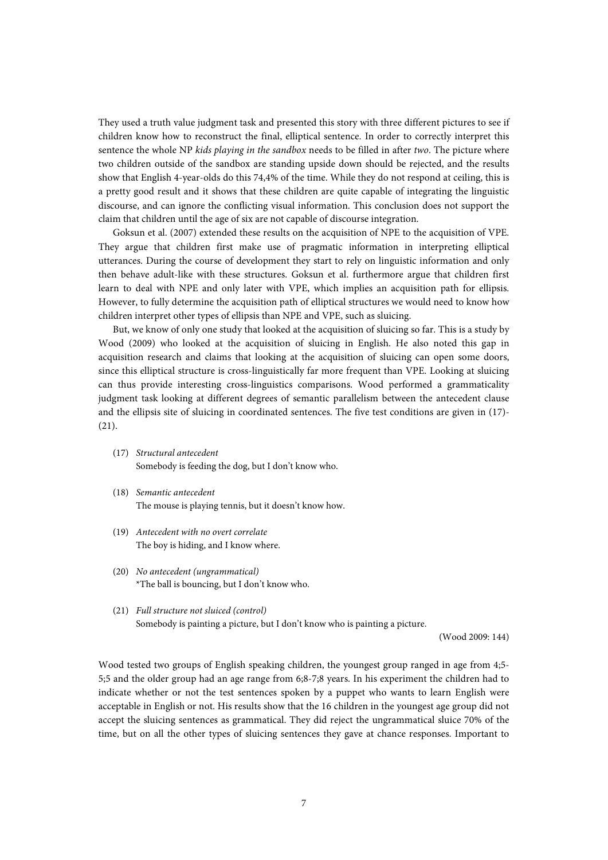They used a truth value judgment task and presented this story with three different pictures to see if children know how to reconstruct the final, elliptical sentence. In order to correctly interpret this sentence the whole NP *kids playing in the sandbox* needs to be filled in after *two*. The picture where two children outside of the sandbox are standing upside down should be rejected, and the results show that English 4-year-olds do this 74,4% of the time. While they do not respond at ceiling, this is a pretty good result and it shows that these children are quite capable of integrating the linguistic discourse, and can ignore the conflicting visual information. This conclusion does not support the claim that children until the age of six are not capable of discourse integration.

Goksun et al. (2007) extended these results on the acquisition of NPE to the acquisition of VPE. They argue that children first make use of pragmatic information in interpreting elliptical utterances. During the course of development they start to rely on linguistic information and only then behave adult-like with these structures. Goksun et al. furthermore argue that children first learn to deal with NPE and only later with VPE, which implies an acquisition path for ellipsis. However, to fully determine the acquisition path of elliptical structures we would need to know how children interpret other types of ellipsis than NPE and VPE, such as sluicing.

But, we know of only one study that looked at the acquisition of sluicing so far. This is a study by Wood (2009) who looked at the acquisition of sluicing in English. He also noted this gap in acquisition research and claims that looking at the acquisition of sluicing can open some doors, since this elliptical structure is cross-linguistically far more frequent than VPE. Looking at sluicing can thus provide interesting cross-linguistics comparisons. Wood performed a grammaticality judgment task looking at different degrees of semantic parallelism between the antecedent clause and the ellipsis site of sluicing in coordinated sentences. The five test conditions are given in (17)- (21).

- (17) *Structural antecedent*  Somebody is feeding the dog, but I don't know who.
- (18) *Semantic antecedent* The mouse is playing tennis, but it doesn't know how.
- (19) *Antecedent with no overt correlate* The boy is hiding, and I know where.
- (20) *No antecedent (ungrammatical)* \*The ball is bouncing, but I don't know who.
- (21) *Full structure not sluiced (control)* Somebody is painting a picture, but I don't know who is painting a picture.

(Wood 2009: 144)

Wood tested two groups of English speaking children, the youngest group ranged in age from 4;5- 5;5 and the older group had an age range from 6;8-7;8 years. In his experiment the children had to indicate whether or not the test sentences spoken by a puppet who wants to learn English were acceptable in English or not. His results show that the 16 children in the youngest age group did not accept the sluicing sentences as grammatical. They did reject the ungrammatical sluice 70% of the time, but on all the other types of sluicing sentences they gave at chance responses. Important to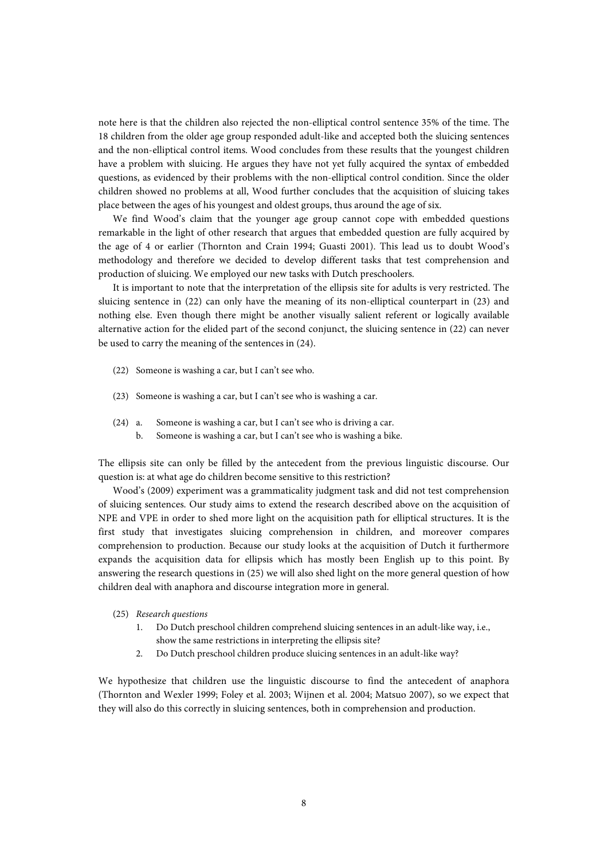note here is that the children also rejected the non-elliptical control sentence 35% of the time. The 18 children from the older age group responded adult-like and accepted both the sluicing sentences and the non-elliptical control items. Wood concludes from these results that the youngest children have a problem with sluicing. He argues they have not yet fully acquired the syntax of embedded questions, as evidenced by their problems with the non-elliptical control condition. Since the older children showed no problems at all, Wood further concludes that the acquisition of sluicing takes place between the ages of his youngest and oldest groups, thus around the age of six.

We find Wood's claim that the younger age group cannot cope with embedded questions remarkable in the light of other research that argues that embedded question are fully acquired by the age of 4 or earlier (Thornton and Crain 1994; Guasti 2001). This lead us to doubt Wood's methodology and therefore we decided to develop different tasks that test comprehension and production of sluicing. We employed our new tasks with Dutch preschoolers.

It is important to note that the interpretation of the ellipsis site for adults is very restricted. The sluicing sentence in (22) can only have the meaning of its non-elliptical counterpart in (23) and nothing else. Even though there might be another visually salient referent or logically available alternative action for the elided part of the second conjunct, the sluicing sentence in (22) can never be used to carry the meaning of the sentences in (24).

- (22) Someone is washing a car, but I can't see who.
- (23) Someone is washing a car, but I can't see who is washing a car.
- (24) a. Someone is washing a car, but I can't see who is driving a car.
	- b. Someone is washing a car, but I can't see who is washing a bike.

The ellipsis site can only be filled by the antecedent from the previous linguistic discourse. Our question is: at what age do children become sensitive to this restriction?

Wood's (2009) experiment was a grammaticality judgment task and did not test comprehension of sluicing sentences. Our study aims to extend the research described above on the acquisition of NPE and VPE in order to shed more light on the acquisition path for elliptical structures. It is the first study that investigates sluicing comprehension in children, and moreover compares comprehension to production. Because our study looks at the acquisition of Dutch it furthermore expands the acquisition data for ellipsis which has mostly been English up to this point. By answering the research questions in (25) we will also shed light on the more general question of how children deal with anaphora and discourse integration more in general.

- (25) *Research questions*
	- 1. Do Dutch preschool children comprehend sluicing sentences in an adult-like way, i.e., show the same restrictions in interpreting the ellipsis site?
	- 2. Do Dutch preschool children produce sluicing sentences in an adult-like way?

We hypothesize that children use the linguistic discourse to find the antecedent of anaphora (Thornton and Wexler 1999; Foley et al. 2003; Wijnen et al. 2004; Matsuo 2007), so we expect that they will also do this correctly in sluicing sentences, both in comprehension and production.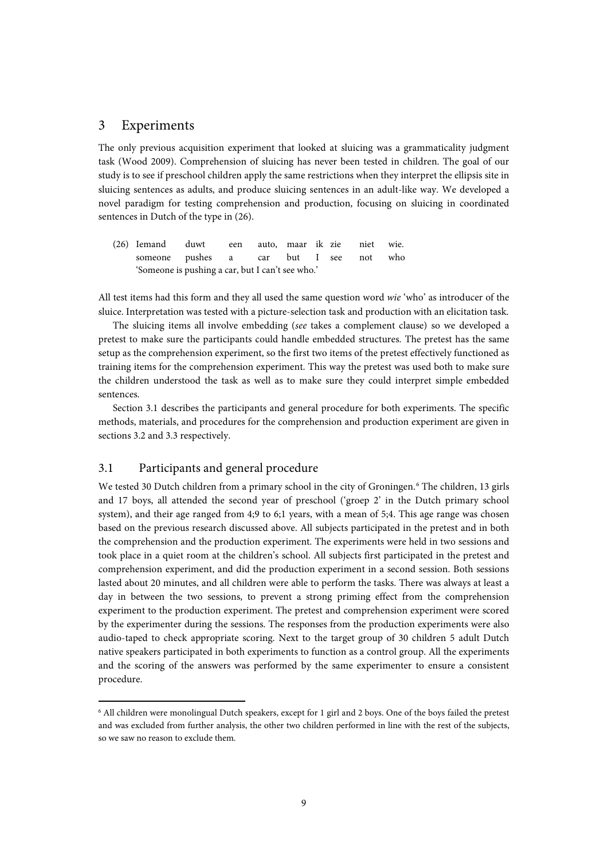### 3 Experiments

The only previous acquisition experiment that looked at sluicing was a grammaticality judgment task (Wood 2009). Comprehension of sluicing has never been tested in children. The goal of our study is to see if preschool children apply the same restrictions when they interpret the ellipsis site in sluicing sentences as adults, and produce sluicing sentences in an adult-like way. We developed a novel paradigm for testing comprehension and production, focusing on sluicing in coordinated sentences in Dutch of the type in (26).

(26) Iemand duwt een auto, maar ik zie niet wie. someone pushes a car but I see not who 'Someone is pushing a car, but I can't see who.'

All test items had this form and they all used the same question word *wie* 'who' as introducer of the sluice. Interpretation was tested with a picture-selection task and production with an elicitation task.

The sluicing items all involve embedding (*see* takes a complement clause) so we developed a pretest to make sure the participants could handle embedded structures. The pretest has the same setup as the comprehension experiment, so the first two items of the pretest effectively functioned as training items for the comprehension experiment. This way the pretest was used both to make sure the children understood the task as well as to make sure they could interpret simple embedded sentences.

Section 3.1 describes the participants and general procedure for both experiments. The specific methods, materials, and procedures for the comprehension and production experiment are given in sections 3.2 and 3.3 respectively.

### 3.1 Participants and general procedure

**.** 

We tested 30 Dutch children from a primary school in the city of Groningen.<sup>[6](#page-8-0)</sup> The children, 13 girls and 17 boys, all attended the second year of preschool ('groep 2' in the Dutch primary school system), and their age ranged from 4;9 to 6;1 years, with a mean of 5;4. This age range was chosen based on the previous research discussed above. All subjects participated in the pretest and in both the comprehension and the production experiment. The experiments were held in two sessions and took place in a quiet room at the children's school. All subjects first participated in the pretest and comprehension experiment, and did the production experiment in a second session. Both sessions lasted about 20 minutes, and all children were able to perform the tasks. There was always at least a day in between the two sessions, to prevent a strong priming effect from the comprehension experiment to the production experiment. The pretest and comprehension experiment were scored by the experimenter during the sessions. The responses from the production experiments were also audio-taped to check appropriate scoring. Next to the target group of 30 children 5 adult Dutch native speakers participated in both experiments to function as a control group. All the experiments and the scoring of the answers was performed by the same experimenter to ensure a consistent procedure.

<span id="page-8-0"></span><sup>6</sup> All children were monolingual Dutch speakers, except for 1 girl and 2 boys. One of the boys failed the pretest and was excluded from further analysis, the other two children performed in line with the rest of the subjects, so we saw no reason to exclude them.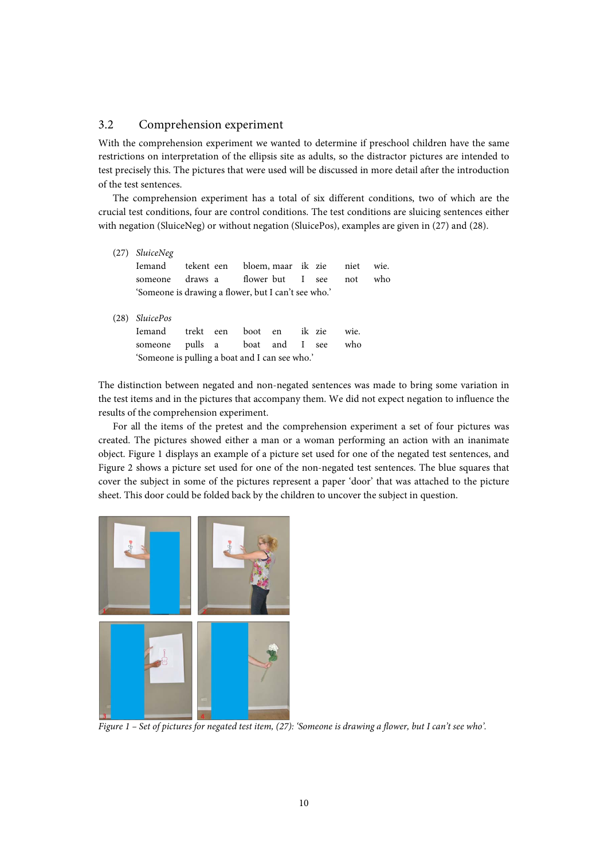### 3.2 Comprehension experiment

With the comprehension experiment we wanted to determine if preschool children have the same restrictions on interpretation of the ellipsis site as adults, so the distractor pictures are intended to test precisely this. The pictures that were used will be discussed in more detail after the introduction of the test sentences.

The comprehension experiment has a total of six different conditions, two of which are the crucial test conditions, four are control conditions. The test conditions are sluicing sentences either with negation (SluiceNeg) or without negation (SluicePos), examples are given in (27) and (28).

| (27) | <i>SluiceNeg</i>                                    |           |  |                               |        |      |      |
|------|-----------------------------------------------------|-----------|--|-------------------------------|--------|------|------|
|      | Iemand                                              |           |  | tekent een bloem, maar ik zie |        | niet | wie. |
|      | someone                                             |           |  | draws a flower but I see      |        | not  | who  |
|      | 'Someone is drawing a flower, but I can't see who.' |           |  |                               |        |      |      |
| (28) | <i>SluicePos</i>                                    |           |  |                               |        |      |      |
|      | <b>Iemand</b>                                       | trekt een |  | boot en                       | ik zie | wie. |      |
|      | someone                                             | pulls a   |  | boat and I                    | see    | who  |      |

'Someone is pulling a boat and I can see who.'

The distinction between negated and non-negated sentences was made to bring some variation in the test items and in the pictures that accompany them. We did not expect negation to influence the results of the comprehension experiment.

For all the items of the pretest and the comprehension experiment a set of four pictures was created. The pictures showed either a man or a woman performing an action with an inanimate object. Figure 1 displays an example of a picture set used for one of the negated test sentences, and Figure 2 shows a picture set used for one of the non-negated test sentences. The blue squares that cover the subject in some of the pictures represent a paper 'door' that was attached to the picture sheet. This door could be folded back by the children to uncover the subject in question.



*Figure 1 – Set of pictures for negated test item, (27): 'Someone is drawing a flower, but I can't see who'.*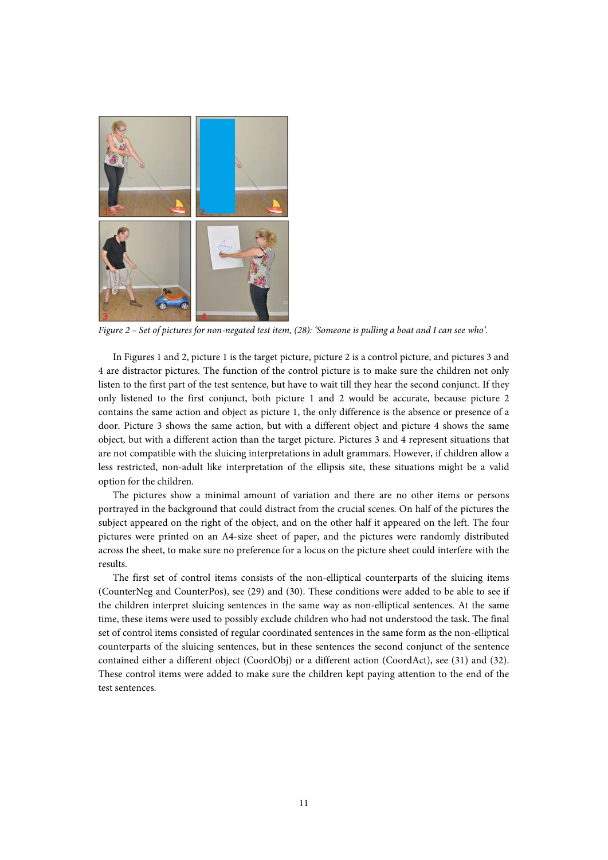

*Figure 2 – Set of pictures for non-negated test item, (28): 'Someone is pulling a boat and I can see who'.*

In Figures 1 and 2, picture 1 is the target picture, picture 2 is a control picture, and pictures 3 and 4 are distractor pictures. The function of the control picture is to make sure the children not only listen to the first part of the test sentence, but have to wait till they hear the second conjunct. If they only listened to the first conjunct, both picture 1 and 2 would be accurate, because picture 2 contains the same action and object as picture 1, the only difference is the absence or presence of a door. Picture 3 shows the same action, but with a different object and picture 4 shows the same object, but with a different action than the target picture. Pictures 3 and 4 represent situations that are not compatible with the sluicing interpretations in adult grammars. However, if children allow a less restricted, non-adult like interpretation of the ellipsis site, these situations might be a valid option for the children.

The pictures show a minimal amount of variation and there are no other items or persons portrayed in the background that could distract from the crucial scenes. On half of the pictures the subject appeared on the right of the object, and on the other half it appeared on the left. The four pictures were printed on an A4-size sheet of paper, and the pictures were randomly distributed across the sheet, to make sure no preference for a locus on the picture sheet could interfere with the results.

The first set of control items consists of the non-elliptical counterparts of the sluicing items (CounterNeg and CounterPos), see (29) and (30). These conditions were added to be able to see if the children interpret sluicing sentences in the same way as non-elliptical sentences. At the same time, these items were used to possibly exclude children who had not understood the task. The final set of control items consisted of regular coordinated sentences in the same form as the non-elliptical counterparts of the sluicing sentences, but in these sentences the second conjunct of the sentence contained either a different object (CoordObj) or a different action (CoordAct), see (31) and (32). These control items were added to make sure the children kept paying attention to the end of the test sentences.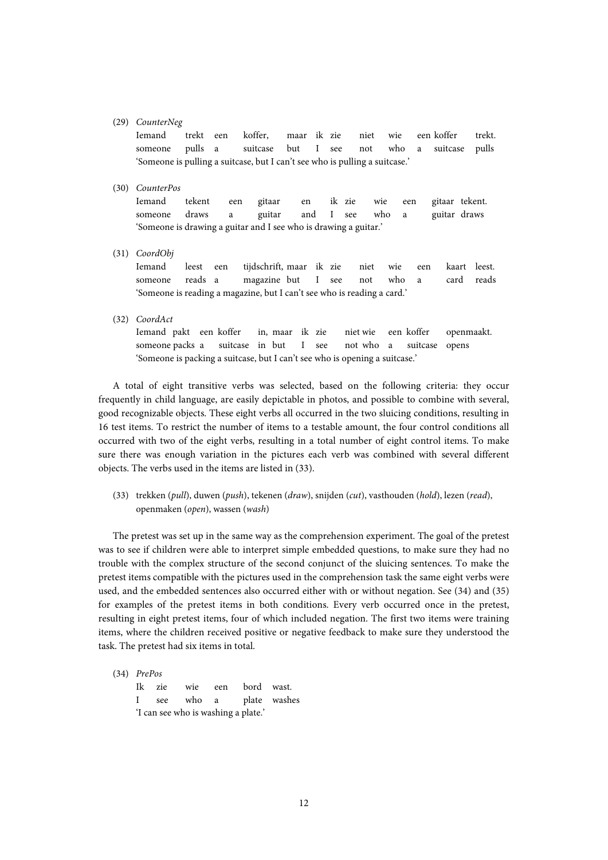#### (29) *CounterNeg*

Iemand trekt een koffer, maar ik zie niet wie een koffer trekt. someone pulls a suitcase but I see not who a suitcase pulls 'Someone is pulling a suitcase, but I can't see who is pulling a suitcase.'

#### (30) *CounterPos*

Iemand tekent een gitaar en ik zie wie een gitaar tekent. someone draws a guitar and I see who a guitar draws 'Someone is drawing a guitar and I see who is drawing a guitar.'

(31) *CoordObj*

Iemand leest een tijdschrift, maar ik zie niet wie een kaart leest. someone reads a magazine but I see not who a card reads 'Someone is reading a magazine, but I can't see who is reading a card.'

(32) *CoordAct*

Iemand pakt een koffer in, maar ik zie niet wie een koffer openmaakt. someone packs a suitcase in but I see not who a suitcase opens 'Someone is packing a suitcase, but I can't see who is opening a suitcase.'

A total of eight transitive verbs was selected, based on the following criteria: they occur frequently in child language, are easily depictable in photos, and possible to combine with several, good recognizable objects. These eight verbs all occurred in the two sluicing conditions, resulting in 16 test items. To restrict the number of items to a testable amount, the four control conditions all occurred with two of the eight verbs, resulting in a total number of eight control items. To make sure there was enough variation in the pictures each verb was combined with several different objects. The verbs used in the items are listed in (33).

(33) trekken (*pull*), duwen (*push*), tekenen (*draw*), snijden (*cut*), vasthouden (*hold*), lezen (*read*), openmaken (*open*), wassen (*wash*)

The pretest was set up in the same way as the comprehension experiment. The goal of the pretest was to see if children were able to interpret simple embedded questions, to make sure they had no trouble with the complex structure of the second conjunct of the sluicing sentences. To make the pretest items compatible with the pictures used in the comprehension task the same eight verbs were used, and the embedded sentences also occurred either with or without negation. See (34) and (35) for examples of the pretest items in both conditions. Every verb occurred once in the pretest, resulting in eight pretest items, four of which included negation. The first two items were training items, where the children received positive or negative feedback to make sure they understood the task. The pretest had six items in total.

(34) *PrePos*

Ik zie wie een bord wast. I see who a plate washes 'I can see who is washing a plate.'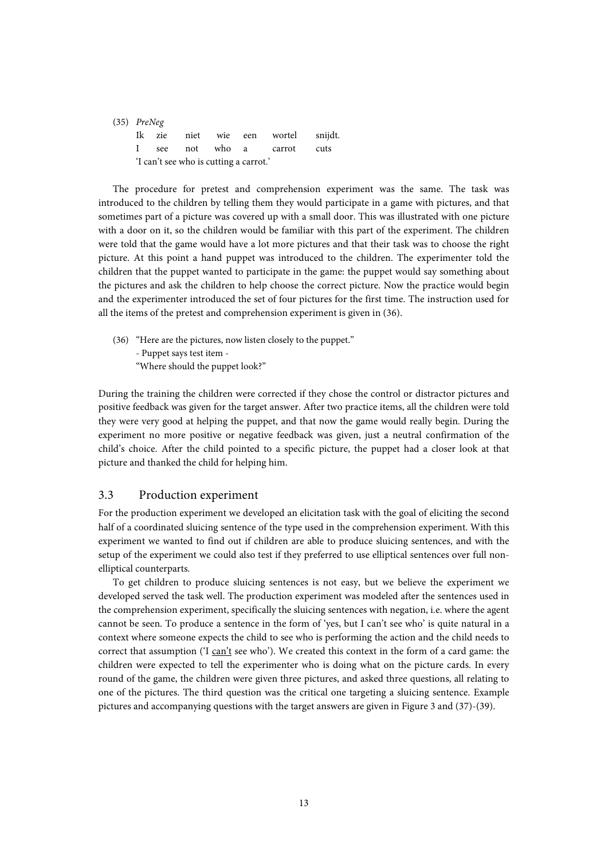| $(35)$ PreNeg                          |  |  |  |  |                                    |  |  |
|----------------------------------------|--|--|--|--|------------------------------------|--|--|
|                                        |  |  |  |  | Ik zie niet wie een wortel snijdt. |  |  |
|                                        |  |  |  |  | I see not who a carrot cuts        |  |  |
| 'I can't see who is cutting a carrot.' |  |  |  |  |                                    |  |  |

The procedure for pretest and comprehension experiment was the same. The task was introduced to the children by telling them they would participate in a game with pictures, and that sometimes part of a picture was covered up with a small door. This was illustrated with one picture with a door on it, so the children would be familiar with this part of the experiment. The children were told that the game would have a lot more pictures and that their task was to choose the right picture. At this point a hand puppet was introduced to the children. The experimenter told the children that the puppet wanted to participate in the game: the puppet would say something about the pictures and ask the children to help choose the correct picture. Now the practice would begin and the experimenter introduced the set of four pictures for the first time. The instruction used for all the items of the pretest and comprehension experiment is given in (36).

(36) "Here are the pictures, now listen closely to the puppet." - Puppet says test item - "Where should the puppet look?"

During the training the children were corrected if they chose the control or distractor pictures and positive feedback was given for the target answer. After two practice items, all the children were told they were very good at helping the puppet, and that now the game would really begin. During the experiment no more positive or negative feedback was given, just a neutral confirmation of the child's choice. After the child pointed to a specific picture, the puppet had a closer look at that picture and thanked the child for helping him.

### 3.3 Production experiment

For the production experiment we developed an elicitation task with the goal of eliciting the second half of a coordinated sluicing sentence of the type used in the comprehension experiment. With this experiment we wanted to find out if children are able to produce sluicing sentences, and with the setup of the experiment we could also test if they preferred to use elliptical sentences over full nonelliptical counterparts.

To get children to produce sluicing sentences is not easy, but we believe the experiment we developed served the task well. The production experiment was modeled after the sentences used in the comprehension experiment, specifically the sluicing sentences with negation, i.e. where the agent cannot be seen. To produce a sentence in the form of 'yes, but I can't see who' is quite natural in a context where someone expects the child to see who is performing the action and the child needs to correct that assumption ('I can't see who'). We created this context in the form of a card game: the children were expected to tell the experimenter who is doing what on the picture cards. In every round of the game, the children were given three pictures, and asked three questions, all relating to one of the pictures. The third question was the critical one targeting a sluicing sentence. Example pictures and accompanying questions with the target answers are given in Figure 3 and (37)-(39).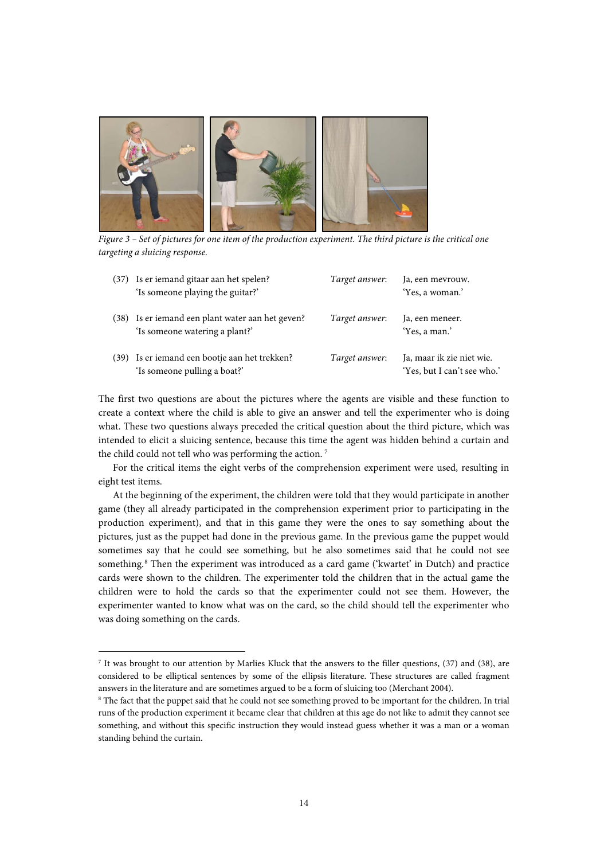

*Figure 3 – Set of pictures for one item of the production experiment. The third picture is the critical one targeting a sluicing response.*

| (37) | Is er iemand gitaar aan het spelen?<br>'Is someone playing the guitar?'            | Target answer: | Ja, een mevrouw.<br>'Yes, a woman.'                      |
|------|------------------------------------------------------------------------------------|----------------|----------------------------------------------------------|
|      | (38) Is er iemand een plant water aan het geven?<br>'Is someone watering a plant?' | Target answer: | Ja, een meneer.<br>'Yes, a man.'                         |
| (39) | Is er iemand een bootje aan het trekken?<br>'Is someone pulling a boat?'           | Target answer: | Ja, maar ik zie niet wie.<br>'Yes, but I can't see who.' |

The first two questions are about the pictures where the agents are visible and these function to create a context where the child is able to give an answer and tell the experimenter who is doing what. These two questions always preceded the critical question about the third picture, which was intended to elicit a sluicing sentence, because this time the agent was hidden behind a curtain and the child could not tell who was performing the action.<sup>[7](#page-13-0)</sup>

For the critical items the eight verbs of the comprehension experiment were used, resulting in eight test items.

At the beginning of the experiment, the children were told that they would participate in another game (they all already participated in the comprehension experiment prior to participating in the production experiment), and that in this game they were the ones to say something about the pictures, just as the puppet had done in the previous game. In the previous game the puppet would sometimes say that he could see something, but he also sometimes said that he could not see something.<sup>[8](#page-13-1)</sup> Then the experiment was introduced as a card game ('kwartet' in Dutch) and practice cards were shown to the children. The experimenter told the children that in the actual game the children were to hold the cards so that the experimenter could not see them. However, the experimenter wanted to know what was on the card, so the child should tell the experimenter who was doing something on the cards.

**.** 

<span id="page-13-0"></span><sup>7</sup> It was brought to our attention by Marlies Kluck that the answers to the filler questions, (37) and (38), are considered to be elliptical sentences by some of the ellipsis literature. These structures are called fragment answers in the literature and are sometimes argued to be a form of sluicing too (Merchant 2004).

<span id="page-13-1"></span><sup>&</sup>lt;sup>8</sup> The fact that the puppet said that he could not see something proved to be important for the children. In trial runs of the production experiment it became clear that children at this age do not like to admit they cannot see something, and without this specific instruction they would instead guess whether it was a man or a woman standing behind the curtain.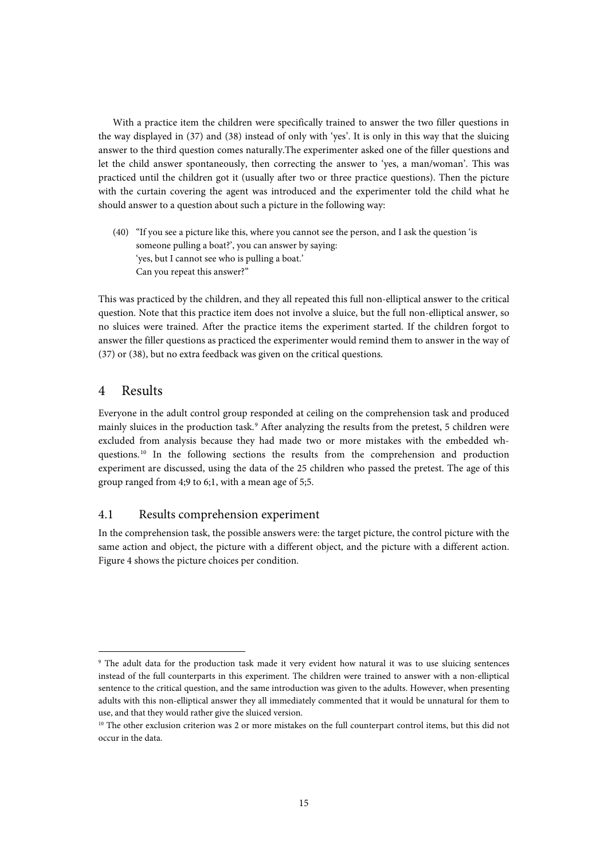With a practice item the children were specifically trained to answer the two filler questions in the way displayed in (37) and (38) instead of only with 'yes'. It is only in this way that the sluicing answer to the third question comes naturally.The experimenter asked one of the filler questions and let the child answer spontaneously, then correcting the answer to 'yes, a man/woman'. This was practiced until the children got it (usually after two or three practice questions). Then the picture with the curtain covering the agent was introduced and the experimenter told the child what he should answer to a question about such a picture in the following way:

(40) "If you see a picture like this, where you cannot see the person, and I ask the question 'is someone pulling a boat?', you can answer by saying: 'yes, but I cannot see who is pulling a boat.' Can you repeat this answer?"

This was practiced by the children, and they all repeated this full non-elliptical answer to the critical question. Note that this practice item does not involve a sluice, but the full non-elliptical answer, so no sluices were trained. After the practice items the experiment started. If the children forgot to answer the filler questions as practiced the experimenter would remind them to answer in the way of (37) or (38), but no extra feedback was given on the critical questions.

## 4 Results

**.** 

Everyone in the adult control group responded at ceiling on the comprehension task and produced mainly sluices in the production task.<sup>[9](#page-14-0)</sup> After analyzing the results from the pretest, 5 children were excluded from analysis because they had made two or more mistakes with the embedded wh-questions.<sup>[10](#page-14-1)</sup> In the following sections the results from the comprehension and production experiment are discussed, using the data of the 25 children who passed the pretest. The age of this group ranged from 4;9 to 6;1, with a mean age of 5;5.

### 4.1 Results comprehension experiment

In the comprehension task, the possible answers were: the target picture, the control picture with the same action and object, the picture with a different object, and the picture with a different action. Figure 4 shows the picture choices per condition.

<span id="page-14-0"></span><sup>&</sup>lt;sup>9</sup> The adult data for the production task made it very evident how natural it was to use sluicing sentences instead of the full counterparts in this experiment. The children were trained to answer with a non-elliptical sentence to the critical question, and the same introduction was given to the adults. However, when presenting adults with this non-elliptical answer they all immediately commented that it would be unnatural for them to use, and that they would rather give the sluiced version.

<span id="page-14-1"></span><sup>&</sup>lt;sup>10</sup> The other exclusion criterion was 2 or more mistakes on the full counterpart control items, but this did not occur in the data.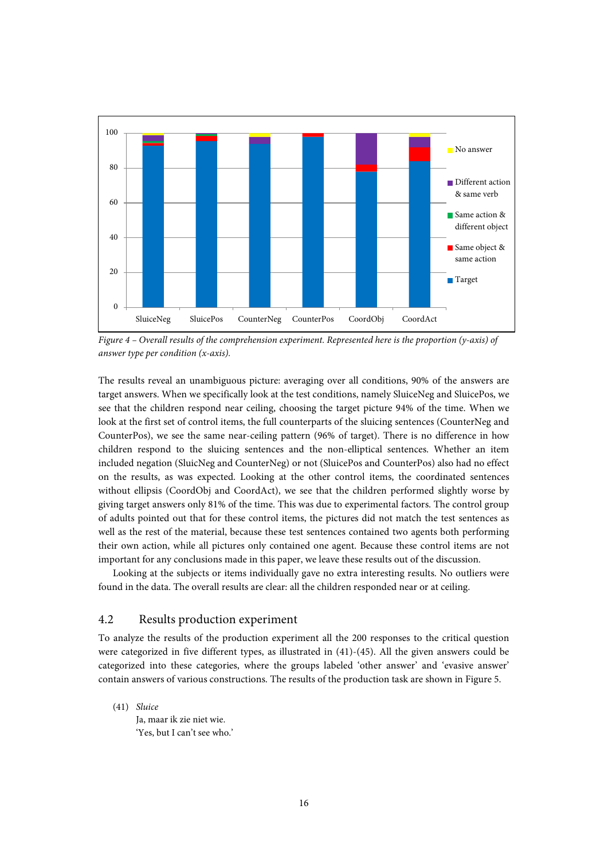

*Figure 4 – Overall results of the comprehension experiment. Represented here is the proportion (y-axis) of answer type per condition (x-axis).* 

The results reveal an unambiguous picture: averaging over all conditions, 90% of the answers are target answers. When we specifically look at the test conditions, namely SluiceNeg and SluicePos, we see that the children respond near ceiling, choosing the target picture 94% of the time. When we look at the first set of control items, the full counterparts of the sluicing sentences (CounterNeg and CounterPos), we see the same near-ceiling pattern (96% of target). There is no difference in how children respond to the sluicing sentences and the non-elliptical sentences. Whether an item included negation (SluicNeg and CounterNeg) or not (SluicePos and CounterPos) also had no effect on the results, as was expected. Looking at the other control items, the coordinated sentences without ellipsis (CoordObj and CoordAct), we see that the children performed slightly worse by giving target answers only 81% of the time. This was due to experimental factors. The control group of adults pointed out that for these control items, the pictures did not match the test sentences as well as the rest of the material, because these test sentences contained two agents both performing their own action, while all pictures only contained one agent. Because these control items are not important for any conclusions made in this paper, we leave these results out of the discussion.

Looking at the subjects or items individually gave no extra interesting results. No outliers were found in the data. The overall results are clear: all the children responded near or at ceiling.

### 4.2 Results production experiment

To analyze the results of the production experiment all the 200 responses to the critical question were categorized in five different types, as illustrated in (41)-(45). All the given answers could be categorized into these categories, where the groups labeled 'other answer' and 'evasive answer' contain answers of various constructions. The results of the production task are shown in Figure 5.

(41) *Sluice*

Ja, maar ik zie niet wie. 'Yes, but I can't see who.'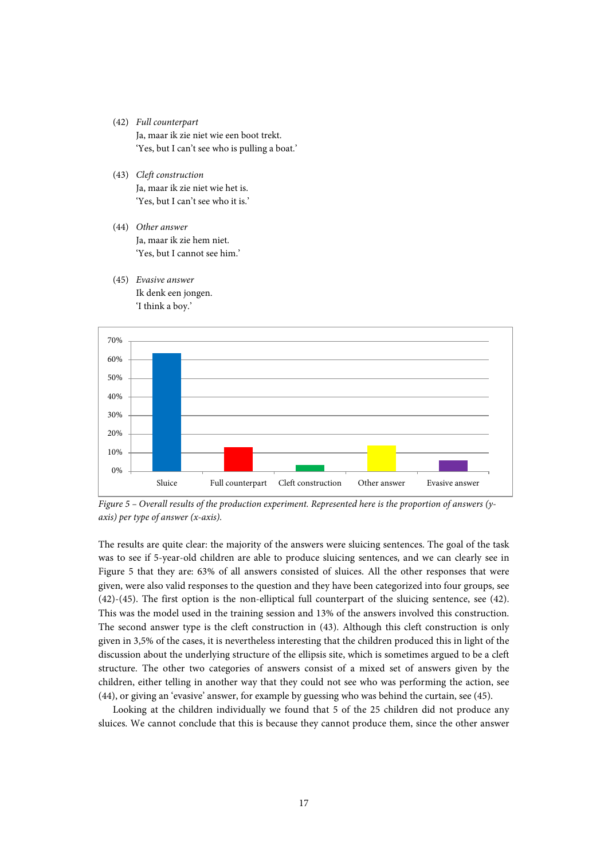- (42) *Full counterpart* Ja, maar ik zie niet wie een boot trekt. 'Yes, but I can't see who is pulling a boat.'
- (43) *Cleft construction* Ja, maar ik zie niet wie het is. 'Yes, but I can't see who it is.'
- (44) *Other answer* Ja, maar ik zie hem niet. 'Yes, but I cannot see him.'
- (45) *Evasive answer* Ik denk een jongen. 'I think a boy.'



*Figure 5 – Overall results of the production experiment. Represented here is the proportion of answers (yaxis) per type of answer (x-axis).*

The results are quite clear: the majority of the answers were sluicing sentences. The goal of the task was to see if 5-year-old children are able to produce sluicing sentences, and we can clearly see in Figure 5 that they are: 63% of all answers consisted of sluices. All the other responses that were given, were also valid responses to the question and they have been categorized into four groups, see (42)-(45). The first option is the non-elliptical full counterpart of the sluicing sentence, see (42). This was the model used in the training session and 13% of the answers involved this construction. The second answer type is the cleft construction in (43). Although this cleft construction is only given in 3,5% of the cases, it is nevertheless interesting that the children produced this in light of the discussion about the underlying structure of the ellipsis site, which is sometimes argued to be a cleft structure. The other two categories of answers consist of a mixed set of answers given by the children, either telling in another way that they could not see who was performing the action, see (44), or giving an 'evasive' answer, for example by guessing who was behind the curtain, see (45).

Looking at the children individually we found that 5 of the 25 children did not produce any sluices. We cannot conclude that this is because they cannot produce them, since the other answer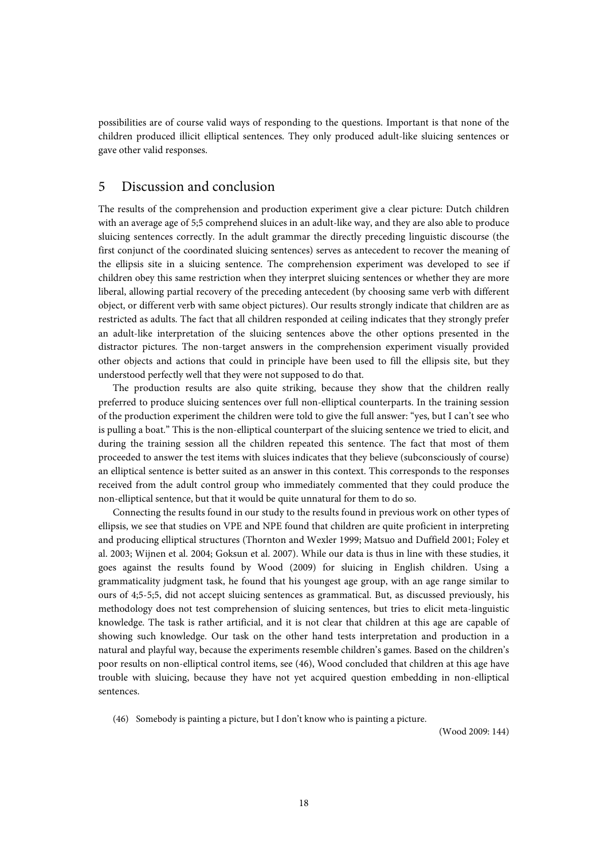possibilities are of course valid ways of responding to the questions. Important is that none of the children produced illicit elliptical sentences. They only produced adult-like sluicing sentences or gave other valid responses.

# 5 Discussion and conclusion

The results of the comprehension and production experiment give a clear picture: Dutch children with an average age of 5;5 comprehend sluices in an adult-like way, and they are also able to produce sluicing sentences correctly. In the adult grammar the directly preceding linguistic discourse (the first conjunct of the coordinated sluicing sentences) serves as antecedent to recover the meaning of the ellipsis site in a sluicing sentence. The comprehension experiment was developed to see if children obey this same restriction when they interpret sluicing sentences or whether they are more liberal, allowing partial recovery of the preceding antecedent (by choosing same verb with different object, or different verb with same object pictures). Our results strongly indicate that children are as restricted as adults. The fact that all children responded at ceiling indicates that they strongly prefer an adult-like interpretation of the sluicing sentences above the other options presented in the distractor pictures. The non-target answers in the comprehension experiment visually provided other objects and actions that could in principle have been used to fill the ellipsis site, but they understood perfectly well that they were not supposed to do that.

The production results are also quite striking, because they show that the children really preferred to produce sluicing sentences over full non-elliptical counterparts. In the training session of the production experiment the children were told to give the full answer: "yes, but I can't see who is pulling a boat." This is the non-elliptical counterpart of the sluicing sentence we tried to elicit, and during the training session all the children repeated this sentence. The fact that most of them proceeded to answer the test items with sluices indicates that they believe (subconsciously of course) an elliptical sentence is better suited as an answer in this context. This corresponds to the responses received from the adult control group who immediately commented that they could produce the non-elliptical sentence, but that it would be quite unnatural for them to do so.

Connecting the results found in our study to the results found in previous work on other types of ellipsis, we see that studies on VPE and NPE found that children are quite proficient in interpreting and producing elliptical structures (Thornton and Wexler 1999; Matsuo and Duffield 2001; Foley et al. 2003; Wijnen et al. 2004; Goksun et al. 2007). While our data is thus in line with these studies, it goes against the results found by Wood (2009) for sluicing in English children. Using a grammaticality judgment task, he found that his youngest age group, with an age range similar to ours of 4;5-5;5, did not accept sluicing sentences as grammatical. But, as discussed previously, his methodology does not test comprehension of sluicing sentences, but tries to elicit meta-linguistic knowledge. The task is rather artificial, and it is not clear that children at this age are capable of showing such knowledge. Our task on the other hand tests interpretation and production in a natural and playful way, because the experiments resemble children's games. Based on the children's poor results on non-elliptical control items, see (46), Wood concluded that children at this age have trouble with sluicing, because they have not yet acquired question embedding in non-elliptical sentences.

(46) Somebody is painting a picture, but I don't know who is painting a picture.

(Wood 2009: 144)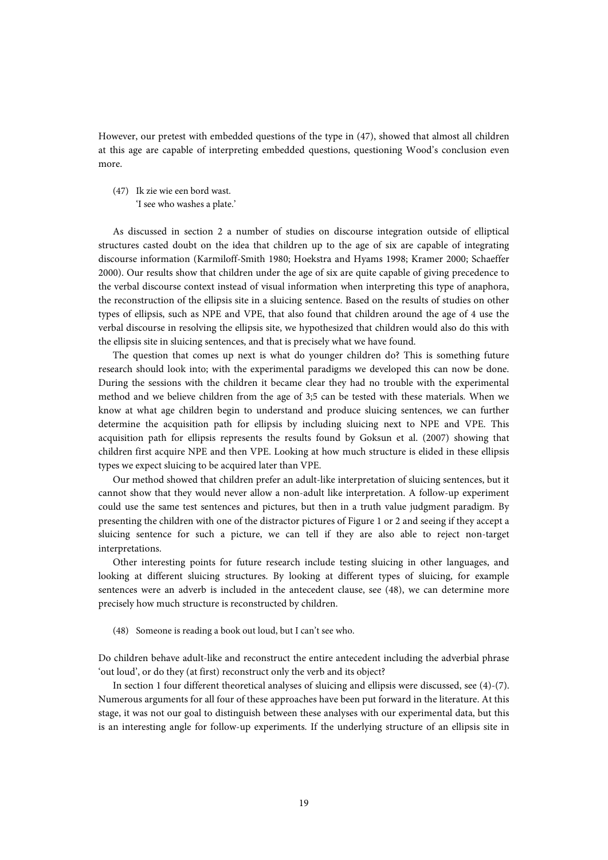However, our pretest with embedded questions of the type in (47), showed that almost all children at this age are capable of interpreting embedded questions, questioning Wood's conclusion even more.

(47) Ik zie wie een bord wast. 'I see who washes a plate.'

As discussed in section 2 a number of studies on discourse integration outside of elliptical structures casted doubt on the idea that children up to the age of six are capable of integrating discourse information (Karmiloff-Smith 1980; Hoekstra and Hyams 1998; Kramer 2000; Schaeffer 2000). Our results show that children under the age of six are quite capable of giving precedence to the verbal discourse context instead of visual information when interpreting this type of anaphora, the reconstruction of the ellipsis site in a sluicing sentence. Based on the results of studies on other types of ellipsis, such as NPE and VPE, that also found that children around the age of 4 use the verbal discourse in resolving the ellipsis site, we hypothesized that children would also do this with the ellipsis site in sluicing sentences, and that is precisely what we have found.

The question that comes up next is what do younger children do? This is something future research should look into; with the experimental paradigms we developed this can now be done. During the sessions with the children it became clear they had no trouble with the experimental method and we believe children from the age of 3;5 can be tested with these materials. When we know at what age children begin to understand and produce sluicing sentences, we can further determine the acquisition path for ellipsis by including sluicing next to NPE and VPE. This acquisition path for ellipsis represents the results found by Goksun et al. (2007) showing that children first acquire NPE and then VPE. Looking at how much structure is elided in these ellipsis types we expect sluicing to be acquired later than VPE.

Our method showed that children prefer an adult-like interpretation of sluicing sentences, but it cannot show that they would never allow a non-adult like interpretation. A follow-up experiment could use the same test sentences and pictures, but then in a truth value judgment paradigm. By presenting the children with one of the distractor pictures of Figure 1 or 2 and seeing if they accept a sluicing sentence for such a picture, we can tell if they are also able to reject non-target interpretations.

Other interesting points for future research include testing sluicing in other languages, and looking at different sluicing structures. By looking at different types of sluicing, for example sentences were an adverb is included in the antecedent clause, see (48), we can determine more precisely how much structure is reconstructed by children.

(48) Someone is reading a book out loud, but I can't see who.

Do children behave adult-like and reconstruct the entire antecedent including the adverbial phrase 'out loud', or do they (at first) reconstruct only the verb and its object?

In section 1 four different theoretical analyses of sluicing and ellipsis were discussed, see (4)-(7). Numerous arguments for all four of these approaches have been put forward in the literature. At this stage, it was not our goal to distinguish between these analyses with our experimental data, but this is an interesting angle for follow-up experiments. If the underlying structure of an ellipsis site in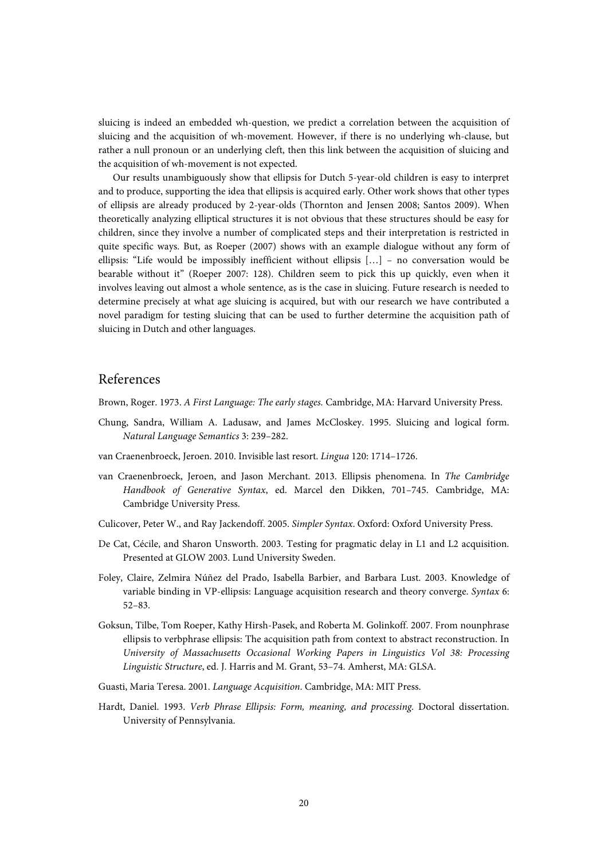sluicing is indeed an embedded wh-question, we predict a correlation between the acquisition of sluicing and the acquisition of wh-movement. However, if there is no underlying wh-clause, but rather a null pronoun or an underlying cleft, then this link between the acquisition of sluicing and the acquisition of wh-movement is not expected.

Our results unambiguously show that ellipsis for Dutch 5-year-old children is easy to interpret and to produce, supporting the idea that ellipsis is acquired early. Other work shows that other types of ellipsis are already produced by 2-year-olds (Thornton and Jensen 2008; Santos 2009). When theoretically analyzing elliptical structures it is not obvious that these structures should be easy for children, since they involve a number of complicated steps and their interpretation is restricted in quite specific ways. But, as Roeper (2007) shows with an example dialogue without any form of ellipsis: "Life would be impossibly inefficient without ellipsis […] – no conversation would be bearable without it" (Roeper 2007: 128). Children seem to pick this up quickly, even when it involves leaving out almost a whole sentence, as is the case in sluicing. Future research is needed to determine precisely at what age sluicing is acquired, but with our research we have contributed a novel paradigm for testing sluicing that can be used to further determine the acquisition path of sluicing in Dutch and other languages.

# References

Brown, Roger. 1973. *A First Language: The early stages.* Cambridge, MA: Harvard University Press.

- Chung, Sandra, William A. Ladusaw, and James McCloskey. 1995. Sluicing and logical form. *Natural Language Semantics* 3: 239–282.
- van Craenenbroeck, Jeroen. 2010. Invisible last resort. *Lingua* 120: 1714–1726.
- van Craenenbroeck, Jeroen, and Jason Merchant. 2013. Ellipsis phenomena. In *The Cambridge Handbook of Generative Syntax*, ed. Marcel den Dikken, 701–745. Cambridge, MA: Cambridge University Press.
- Culicover, Peter W., and Ray Jackendoff. 2005. *Simpler Syntax*. Oxford: Oxford University Press.
- De Cat, Cécile, and Sharon Unsworth. 2003. Testing for pragmatic delay in L1 and L2 acquisition. Presented at GLOW 2003. Lund University Sweden.
- Foley, Claire, Zelmira Núñez del Prado, Isabella Barbier, and Barbara Lust. 2003. Knowledge of variable binding in VP-ellipsis: Language acquisition research and theory converge. *Syntax* 6: 52–83.
- Goksun, Tilbe, Tom Roeper, Kathy Hirsh-Pasek, and Roberta M. Golinkoff. 2007. From nounphrase ellipsis to verbphrase ellipsis: The acquisition path from context to abstract reconstruction. In *University of Massachusetts Occasional Working Papers in Linguistics Vol 38: Processing Linguistic Structure*, ed. J. Harris and M. Grant, 53–74. Amherst, MA: GLSA.
- Guasti, Maria Teresa. 2001. *Language Acquisition*. Cambridge, MA: MIT Press.
- Hardt, Daniel. 1993. *Verb Phrase Ellipsis: Form, meaning, and processing.* Doctoral dissertation. University of Pennsylvania.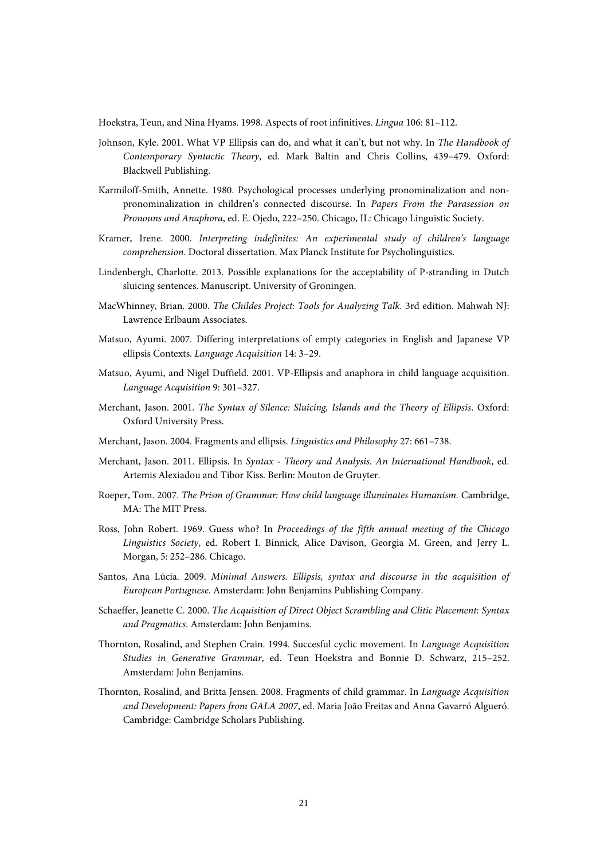Hoekstra, Teun, and Nina Hyams. 1998. Aspects of root infinitives. *Lingua* 106: 81–112.

- Johnson, Kyle. 2001. What VP Ellipsis can do, and what it can't, but not why. In *The Handbook of Contemporary Syntactic Theory*, ed. Mark Baltin and Chris Collins, 439–479. Oxford: Blackwell Publishing.
- Karmiloff-Smith, Annette. 1980. Psychological processes underlying pronominalization and nonpronominalization in children's connected discourse. In *Papers From the Parasession on Pronouns and Anaphora*, ed. E. Ojedo, 222–250. Chicago, IL: Chicago Linguistic Society.
- Kramer, Irene. 2000. *Interpreting indefinites: An experimental study of children's language comprehension*. Doctoral dissertation. Max Planck Institute for Psycholinguistics.
- Lindenbergh, Charlotte. 2013. Possible explanations for the acceptability of P-stranding in Dutch sluicing sentences. Manuscript. University of Groningen.
- MacWhinney, Brian. 2000. *The Childes Project: Tools for Analyzing Talk.* 3rd edition. Mahwah NJ: Lawrence Erlbaum Associates.
- Matsuo, Ayumi. 2007. Differing interpretations of empty categories in English and Japanese VP ellipsis Contexts. *Language Acquisition* 14: 3–29.
- Matsuo, Ayumi, and Nigel Duffield. 2001. VP-Ellipsis and anaphora in child language acquisition. *Language Acquisition* 9: 301–327.
- Merchant, Jason. 2001. *The Syntax of Silence: Sluicing, Islands and the Theory of Ellipsis*. Oxford: Oxford University Press.
- Merchant, Jason. 2004. Fragments and ellipsis. *Linguistics and Philosophy* 27: 661–738.
- Merchant, Jason. 2011. Ellipsis. In *Syntax - Theory and Analysis. An International Handbook*, ed. Artemis Alexiadou and Tibor Kiss. Berlin: Mouton de Gruyter.
- Roeper, Tom. 2007. *The Prism of Grammar: How child language illuminates Humanism.* Cambridge, MA: The MIT Press.
- Ross, John Robert. 1969. Guess who? In *Proceedings of the fifth annual meeting of the Chicago Linguistics Society*, ed. Robert I. Binnick, Alice Davison, Georgia M. Green, and Jerry L. Morgan, 5: 252–286. Chicago.
- Santos, Ana Lúcia. 2009. *Minimal Answers. Ellipsis, syntax and discourse in the acquisition of European Portuguese*. Amsterdam: John Benjamins Publishing Company.
- Schaeffer, Jeanette C. 2000. *The Acquisition of Direct Object Scrambling and Clitic Placement: Syntax and Pragmatics*. Amsterdam: John Benjamins.
- Thornton, Rosalind, and Stephen Crain. 1994. Succesful cyclic movement. In *Language Acquisition Studies in Generative Grammar*, ed. Teun Hoekstra and Bonnie D. Schwarz, 215–252. Amsterdam: John Benjamins.
- Thornton, Rosalind, and Britta Jensen. 2008. Fragments of child grammar. In *Language Acquisition and Development: Papers from GALA 2007*, ed. Maria João Freitas and Anna Gavarró Algueró. Cambridge: Cambridge Scholars Publishing.